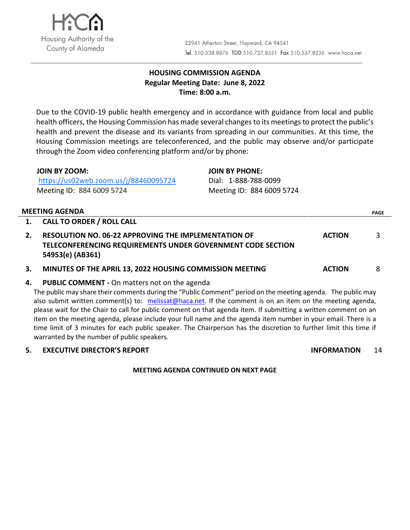

# **HOUSING COMMISSION AGENDA Regular Meeting Date: June 8, 2022 Time: 8:00 a.m.**

Due to the COVID-19 public health emergency and in accordance with guidance from local and public health officers, the Housing Commission has made several changes to its meetings to protect the public's health and prevent the disease and its variants from spreading in our communities. At this time, the Housing Commission meetings are teleconferenced, and the public may observe and/or participate through the Zoom video conferencing platform and/or by phone:

| <b>JOIN BY ZOOM:</b>                  | <b>JOIN BY PHONE:</b>     |
|---------------------------------------|---------------------------|
| https://us02web.zoom.us/j/88460095724 | Dial: 1-888-788-0099      |
| Meeting ID: 884 6009 5724             | Meeting ID: 884 6009 5724 |

## **MEETING AGENDA PAGE**

|    | 1. CALL TO ORDER / ROLL CALL                                                                                                                   |               |   |
|----|------------------------------------------------------------------------------------------------------------------------------------------------|---------------|---|
| 2. | <b>RESOLUTION NO. 06-22 APPROVING THE IMPLEMENTATION OF</b><br>TELECONFERENCING REQUIREMENTS UNDER GOVERNMENT CODE SECTION<br>54953(e) (AB361) | <b>ACTION</b> | ₹ |
|    | MINUTES OF THE APRIL 13, 2022 HOUSING COMMISSION MEETING                                                                                       | <b>ACTION</b> |   |

## **4. PUBLIC COMMENT -** On matters not on the agenda

The public may share their comments during the "Public Comment" period on the meeting agenda. The public may also submit written comment(s) to: [melissat@haca.net.](mailto:melissat@haca.net) If the comment is on an item on the meeting agenda, please wait for the Chair to call for public comment on that agenda item. If submitting a written comment on an item on the meeting agenda, please include your full name and the agenda item number in your email. There is a time limit of 3 minutes for each public speaker. The Chairperson has the discretion to further limit this time if warranted by the number of public speakers.

#### **5. EXECUTIVE DIRECTOR'S REPORT INFORMATION** 14

## **MEETING AGENDA CONTINUED ON NEXT PAGE**